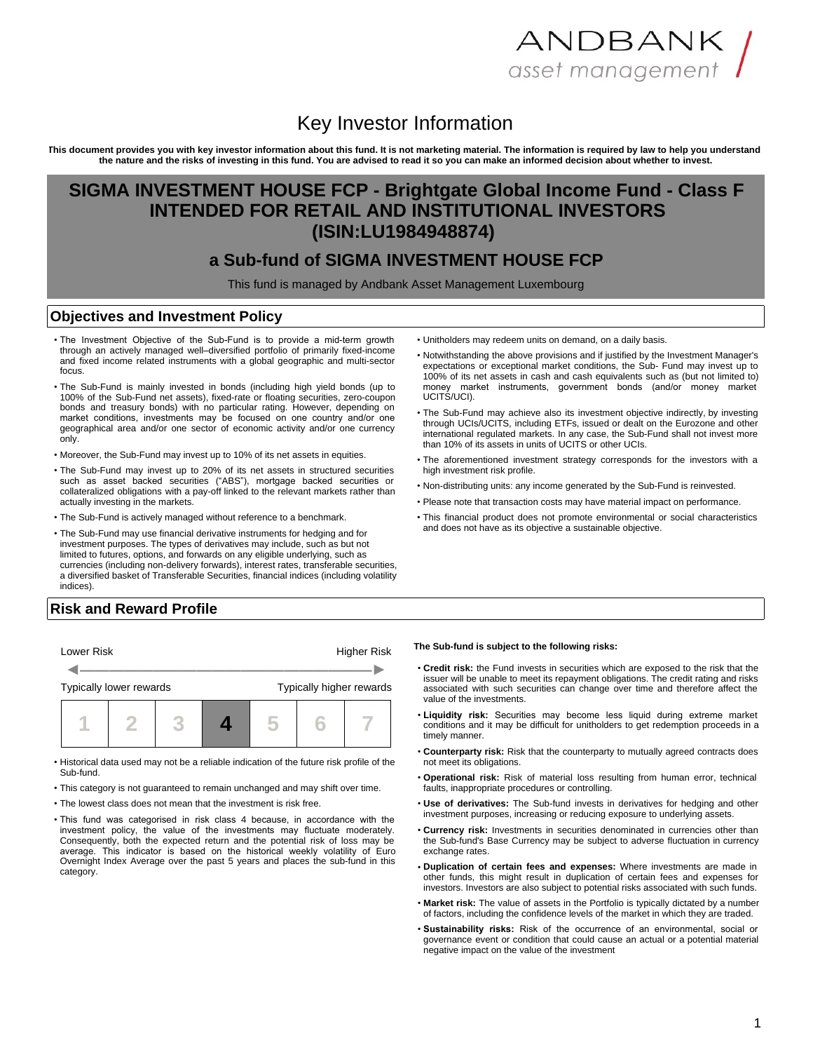# ANDBANK / asset management

## Key Investor Information

**This document provides you with key investor information about this fund. It is not marketing material. The information is required by law to help you understand the nature and the risks of investing in this fund. You are advised to read it so you can make an informed decision about whether to invest.**

## **SIGMA INVESTMENT HOUSE FCP - Brightgate Global Income Fund - Class F INTENDED FOR RETAIL AND INSTITUTIONAL INVESTORS (ISIN:LU1984948874)**

### **a Sub-fund of SIGMA INVESTMENT HOUSE FCP**

This fund is managed by Andbank Asset Management Luxembourg

#### **Objectives and Investment Policy**

- The Investment Objective of the Sub-Fund is to provide a mid-term growth through an actively managed well–diversified portfolio of primarily fixed-income and fixed income related instruments with a global geographic and multi-sector focus.
- The Sub-Fund is mainly invested in bonds (including high yield bonds (up to 100% of the Sub-Fund net assets), fixed-rate or floating securities, zero-coupon bonds and treasury bonds) with no particular rating. However, depending on market conditions, investments may be focused on one country and/or one geographical area and/or one sector of economic activity and/or one currency only.
- Moreover, the Sub-Fund may invest up to 10% of its net assets in equities.
- The Sub-Fund may invest up to 20% of its net assets in structured securities such as asset backed securities ("ABS"), mortgage backed securities or collateralized obligations with a pay-off linked to the relevant markets rather than actually investing in the markets.
- The Sub-Fund is actively managed without reference to a benchmark.
- The Sub-Fund may use financial derivative instruments for hedging and for investment purposes. The types of derivatives may include, such as but not limited to futures, options, and forwards on any eligible underlying, such as currencies (including non-delivery forwards), interest rates, transferable securities, a diversified basket of Transferable Securities, financial indices (including volatility indices).

expectations or exceptional market conditions, the Sub- Fund may invest up to 100% of its net assets in cash and cash equivalents such as (but not limited to)

• Unitholders may redeem units on demand, on a daily basis.

UCITS/UCI). • The Sub-Fund may achieve also its investment objective indirectly, by investing through UCIs/UCITS, including ETFs, issued or dealt on the Eurozone and other international regulated markets. In any case, the Sub-Fund shall not invest more than 10% of its assets in units of UCITS or other UCIs.

• Notwithstanding the above provisions and if justified by the Investment Manager's

money market instruments, government bonds (and/or money market

- The aforementioned investment strategy corresponds for the investors with a high investment risk profile.
- Non-distributing units: any income generated by the Sub-Fund is reinvested.
- Please note that transaction costs may have material impact on performance.
- This financial product does not promote environmental or social characteristics and does not have as its objective a sustainable objective.

### **Risk and Reward Profile**



- Historical data used may not be a reliable indication of the future risk profile of the Sub-fund.
- This category is not guaranteed to remain unchanged and may shift over time.
- The lowest class does not mean that the investment is risk free.
- This fund was categorised in risk class 4 because, in accordance with the investment policy, the value of the investments may fluctuate moderately. Consequently, both the expected return and the potential risk of loss may be average. This indicator is based on the historical weekly volatility of Euro Overnight Index Average over the past 5 years and places the sub-fund in this category.

#### **The Sub-fund is subject to the following risks:**

- **Credit risk:** the Fund invests in securities which are exposed to the risk that the issuer will be unable to meet its repayment obligations. The credit rating and risks associated with such securities can change over time and therefore affect the value of the investments.
- **Liquidity risk:** Securities may become less liquid during extreme market conditions and it may be difficult for unitholders to get redemption proceeds in a timely manner
- **Counterparty risk:** Risk that the counterparty to mutually agreed contracts does not meet its obligations.
- **Operational risk:** Risk of material loss resulting from human error, technical faults, inappropriate procedures or controlling.
- **Use of derivatives:** The Sub-fund invests in derivatives for hedging and other investment purposes, increasing or reducing exposure to underlying assets.
- **Currency risk:** Investments in securities denominated in currencies other than the Sub-fund's Base Currency may be subject to adverse fluctuation in currency exchange rates.
- **Duplication of certain fees and expenses:** Where investments are made in other funds, this might result in duplication of certain fees and expenses for investors. Investors are also subject to potential risks associated with such funds.
- **Market risk:** The value of assets in the Portfolio is typically dictated by a number of factors, including the confidence levels of the market in which they are traded.
- **Sustainability risks:** Risk of the occurrence of an environmental, social or governance event or condition that could cause an actual or a potential material negative impact on the value of the investment